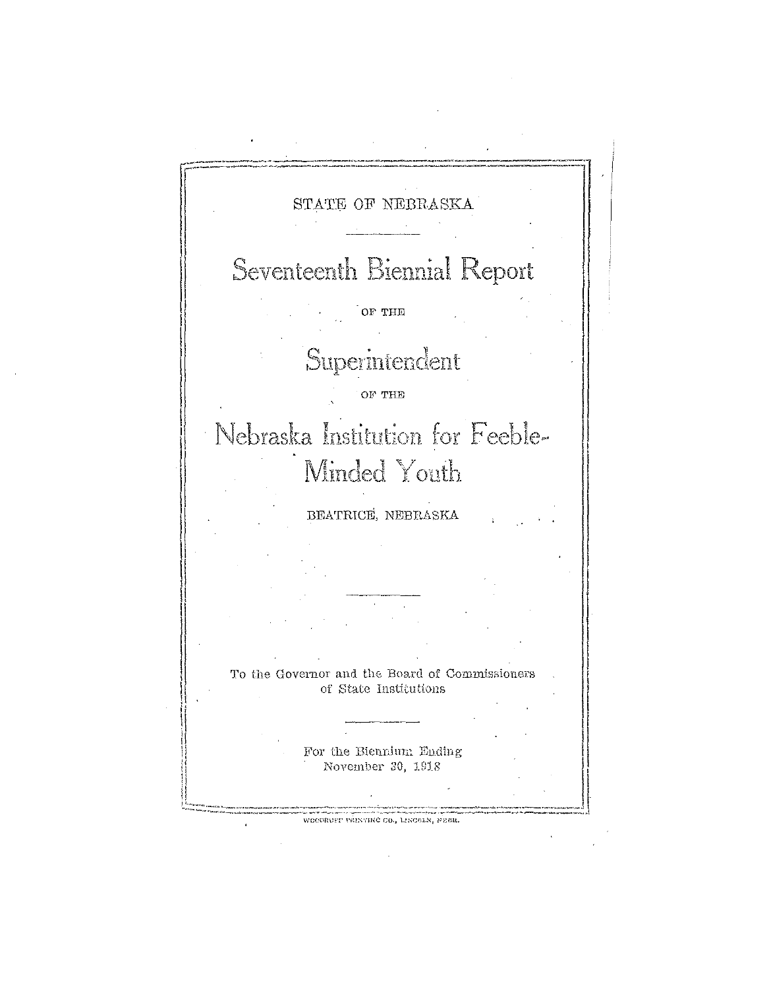STATE OF NEBRASKA Seventeenth Biennial Report OF THE Superintendent OF THE Nebraska Institution for Feeble-Minded Youth BEATRICE, NEBRASKA To the Governor and the Board of Commissioners of State Institutions For the Biennium Ending November 30, 1918 WECDRUPP PRINTING CO., LINCOLN, PEBR.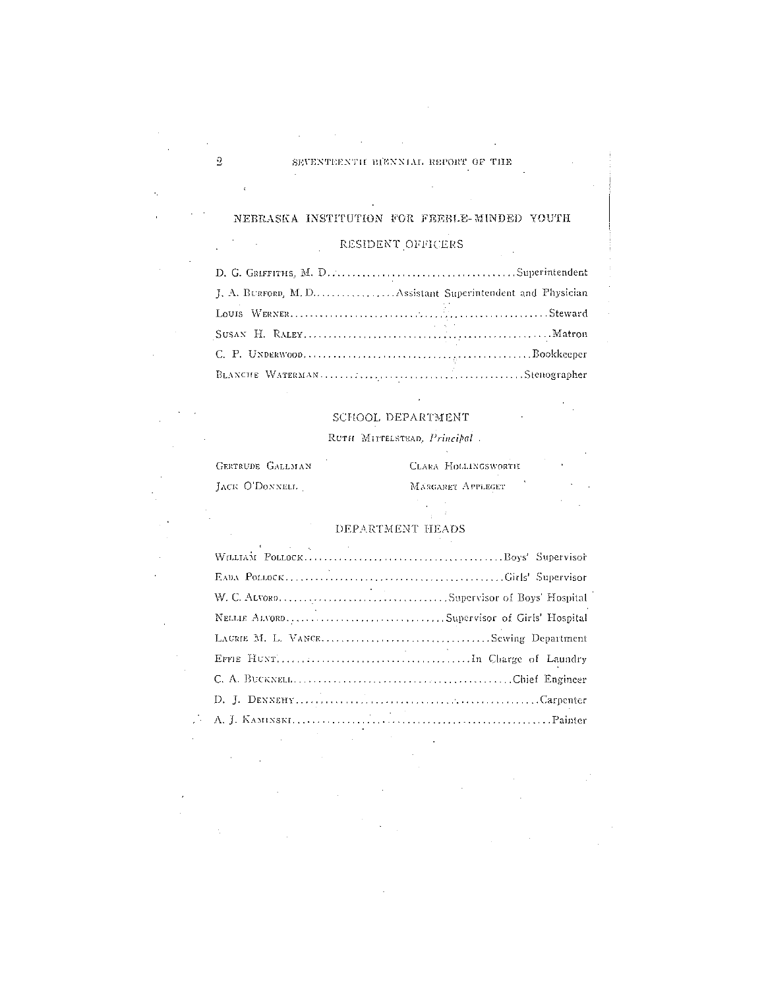## NEBRASKA INSTITUTION FOR FEEBLE-MINDED YOUTH

 $\frac{1}{2}$  ,  $\frac{1}{2}$ 

#### RESIDENT OFFICERS  $\bar{\mathcal{A}}$

 $\mathcal{L}_{\mathcal{A}}$ 

 $\label{eq:2} \mathcal{L}_{\text{max}} = \frac{1}{2} \sum_{i=1}^{N} \frac{1}{2} \sum_{i=1}^{N} \frac{1}{2} \sum_{i=1}^{N} \frac{1}{2} \sum_{i=1}^{N} \frac{1}{2} \sum_{i=1}^{N} \frac{1}{2} \sum_{i=1}^{N} \frac{1}{2} \sum_{i=1}^{N} \frac{1}{2} \sum_{i=1}^{N} \frac{1}{2} \sum_{i=1}^{N} \frac{1}{2} \sum_{i=1}^{N} \frac{1}{2} \sum_{i=1}^{N} \frac{1}{2} \sum_{i=1}$ 

 $\sim$ 

| the contract of the contract of the contract of the contract of the contract of |
|---------------------------------------------------------------------------------|
|                                                                                 |
|                                                                                 |

## SCHOOL DEPARTMENT

## RUTH MITTELSTEAD, Principal.

 $\sim$   $\sim$ 

| GERTRUDE GALLMAN | CLARA HOLLINGSWORTH |  |
|------------------|---------------------|--|
| JACK O'DONNELL   | MARGARET APPLEGET   |  |
|                  |                     |  |
|                  |                     |  |

# DEPARTMENT HEADS

| All the state of the control of the |
|-------------------------------------|
|                                     |
|                                     |
|                                     |
|                                     |
|                                     |
|                                     |
|                                     |
|                                     |

 $\ddot{\phantom{a}}$ 

 $\bar{a}$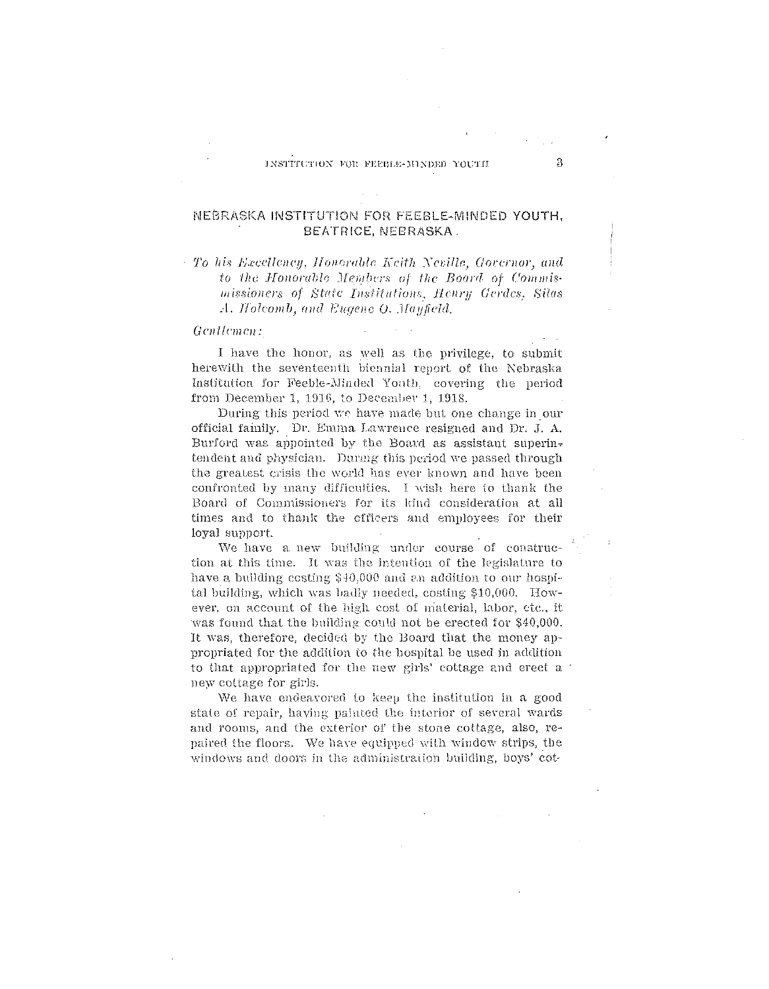# NEBRASKA INSTITUTION FOR FEEBLE-MINDED YOUTH, BEATRICE, NEBRASKA.

 $+$  To his Excellency, Honorable Keith Neville, Governor, and to the Honorable Members of the Board of Commismissioners of State Institutions, Henry Gerdes, Silas A. Holcomb, and Eugene O. Mayfield.

### Gentlemen:

I have the honor, as well as the privilege, to submit herewith the seventeenth biennial report of the Nebraska Institution for Feeble-Minded Youth, covering the period from December 1, 1916, to December 1, 1918.

During this period we have made but one change in our official family. Dr. Emma Lawrence resigned and Dr. J. A. Burford was appointed by the Board as assistant superintendent and physician. During this period we passed through the greatest crisis the world has ever known and have been confronted by many difficulties. I wish here to thank the Board of Commissioners for its kind consideration at all times and to thank the officers and employees for their loyal support.

We have a new building under course of construction at this time. It was the intention of the legislature to have a building costing \$40,000 and an addition to our hospital building, which was hadly needed, costing \$10,000. However, on account of the high cost of material, labor, ctc., it was found that the building could not be erected for \$40,000. It was, therefore, decided by the Board that the money appropriated for the addition to the hospital be used in addition to that appropriated for the new girls' cottage and erect a new cottage for girls.

We have endeavored to keep the institution in a good state of repair, having painted the interior of several wards and rooms, and the exterior of the stone cottage, also, repaired the floors. We have equipped with window strips, the windows and doors in the administration building, boys' cot-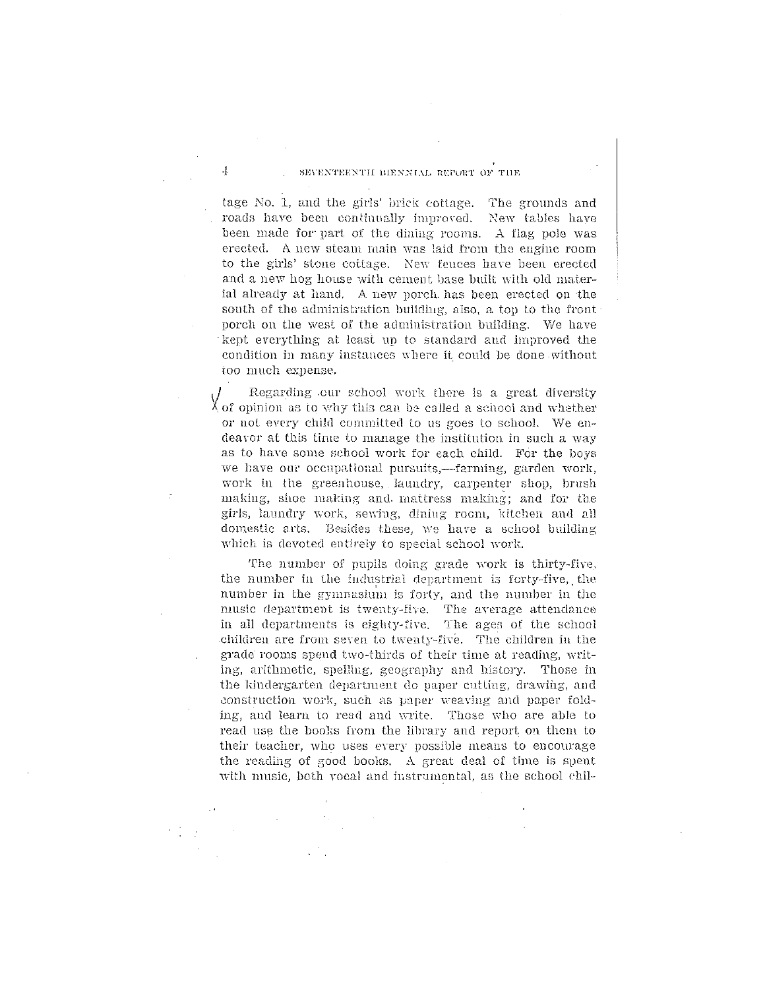### SEVENTEENTH BIENNIAL REPORT OF THE

 $\ddot{\cdot}$ 

tage No. 1, and the girls' brick cottage. The grounds and roads have been continually improved. New tables have been made for part of the dining rooms. A flag pole was erected. A new steam main was laid from the engine room to the girls' stone cottage. New fences have been erected and a new hog house with cement base built with old material already at hand. A new porch has been erected on the south of the administration building, also, a top to the front porch on the west of the administration building. We have kept everything at least up to standard and improved the condition in many instances where it could be done without too much expense.

Regarding our school work there is a great diversity  $\chi$  of opinion as to why this can be called a school and whether or not every child committed to us goes to school. We endeavor at this time to manage the institution in such a way as to have some school work for each child. For the boys we have our occupational pursuits,-farming, garden work, work in the greenhouse, laundry, carpenter shop, brush making, shoe making and mattress making; and for the girls, laundry work, sewing, dining room, kitchen and all domestic arts. Besides these, we have a school building which is devoted entirely to special school work.

The number of pupils doing grade work is thirty-five, the number in the industrial department is forty-five, the number in the gymnasium is forty, and the number in the music department is twenty-five. The average attendance in all departments is eighty-five. The ages of the school children are from seven to twenty-five. The children in the grade rooms spend two-thirds of their time at reading, writing, arithmetic, spelling, geography and history. Those in the kindergarten department do paper cutting, drawing, and construction work, such as paper weaving and paper folding, and learn to read and write. Those who are able to read use the books from the library and report on them to their teacher, who uses every possible means to encourage the reading of good books. A great deal of time is spent with music, both vocal and instrumental, as the school chil-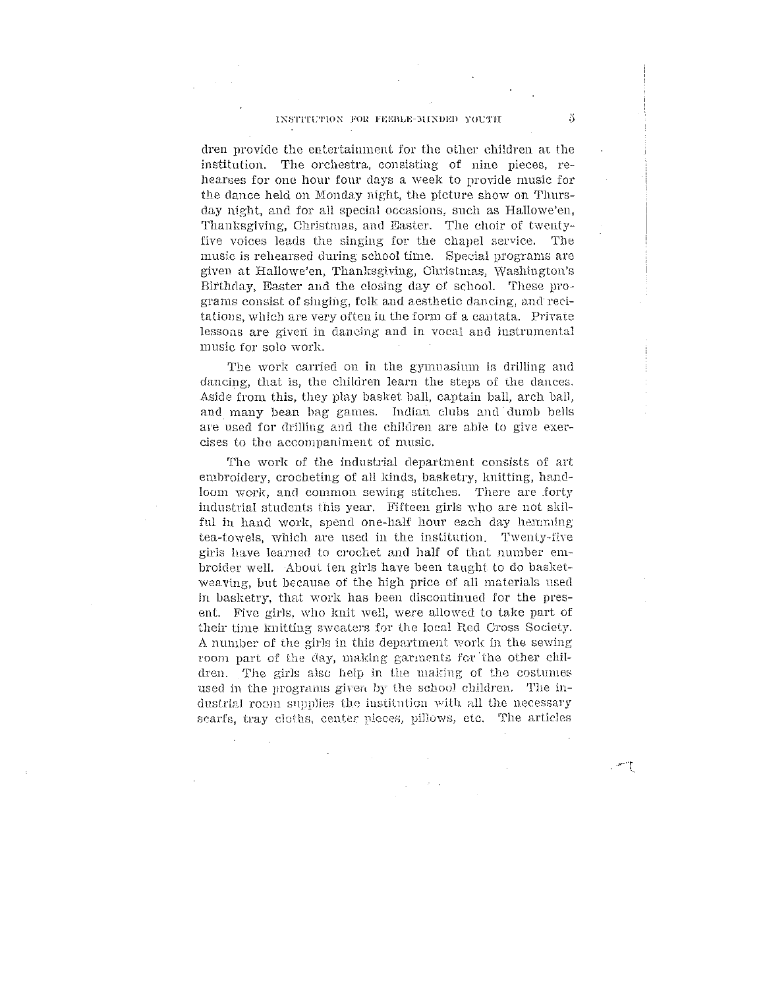### INSTITUTION FOR FEEBLE-MINDED YOUTH

dren provide the entertainment for the other children at the institution. The orchestra, consisting of nine pieces, rehearses for one hour four days a week to provide music for the dance held on Monday night, the picture show on Thursday night, and for all special occasions, such as Hallowe'en, Thanksgiving, Christmas, and Easter. The choir of twentyfive voices leads the singing for the chapel service. - The music is rehearsed during school time. Special programs are given at Hallowe'en, Thanksgiving, Christmas, Washington's Birthday, Easter and the closing day of school. These programs consist of singing, folk and aesthetic dancing, and recitations, which are very often in the form of a cantata. Private lessons are given in dancing and in vocal and instrumental music for solo work.

The work carried on in the gymnasium is drilling and dancing, that is, the children learn the steps of the dances. Aside from this, they play basket ball, captain ball, arch ball, and many bean bag games. Indian clubs and dumb bells are used for drilling and the children are able to give exercises to the accompaniment of music.

The work of the industrial department consists of art embroidery, crocheting of all kinds, basketry, knitting, handloom work, and common sewing stitches. There are forty industrial students this year. Fifteen girls who are not skilful in hand work, spend one-half hour each day hemming tea-towels, which are used in the institution. Twenty-five girls have learned to crochet and half of that number embroider well. About ten girls have been taught to do basketweaving, but because of the high price of all materials used in basketry, that work has been discontinued for the present. Five girls, who knit well, were allowed to take part of their time knitting sweaters for the local Red Cross Society. A number of the girls in this department work in the sewing room part of the day, making garments for the other children. The girls also help in the making of the costumes used in the programs given by the school children. The industrial room supplies the institution with all the necessary scarfs, tray cloths, center pieces, pillows, etc. The articles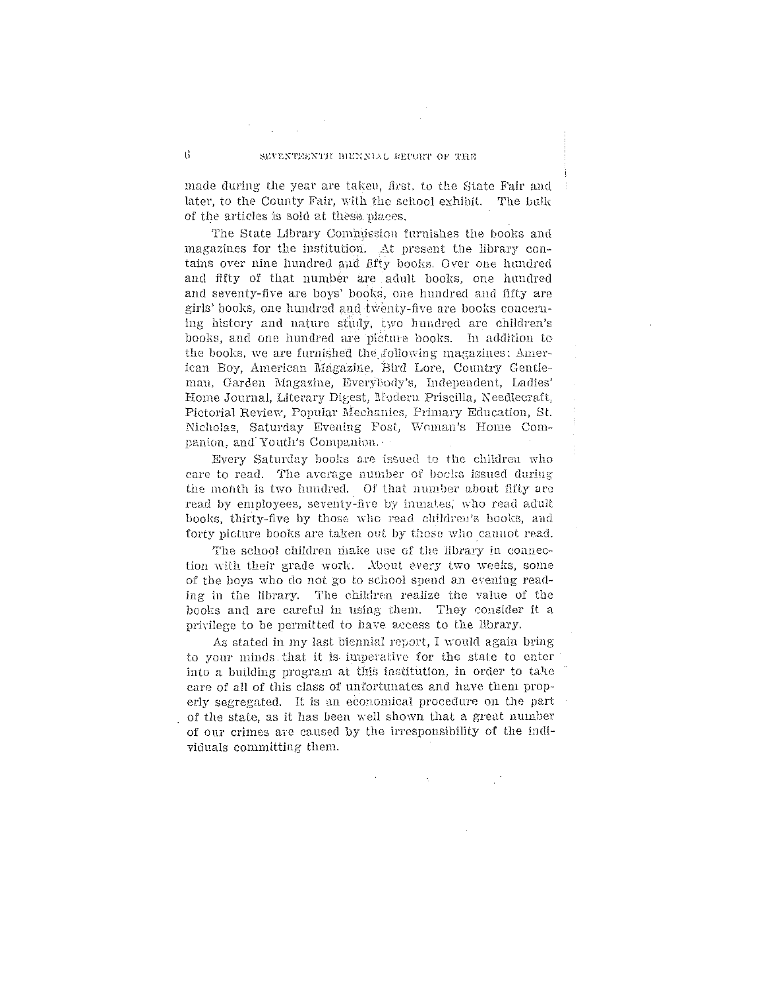#### SEVENTEENTH BIENNIAL REPORT OF THE

made during the year are taken, first, to the State Fair and later, to the County Fair, with the school exhibit. The bulk of the articles is sold at these places.

The State Library Commission furnishes the books and magazines for the institution. At present the library contains over nine hundred and fifty books. Over one hundred and fifty of that number are adult books, one hundred and seventy-five are boys' books, one hundred and fifty are girls' books, one hundred and twenty-five are books concerning history and nature study, two hundred are children's books, and one hundred are picture books. In addition to the books, we are furnished the following magazines: American Boy, American Magazine, Bhd Lore, Country Gentleman, Garden Magazine, Everybody's, Independent, Ladies' Home Journal, Literary Digest, Modern Priscilla, Needlecraft, Pictorial Review, Popular Mechanics, Primary Education, St. Nicholas, Saturday Evening Post, Woman's Home Companion, and Youth's Companion.

Every Saturday books are issued to the children who care to read. The average number of books issued during the month is two hundred. Of that number about fifty are read by employees, seventy-five by inmates, who read adult books, thirty-five by those who read children's books, and forty picture books are taken out by those who cannot read.

The school children make use of the library in connection with their grade work. About every two weeks, some of the boys who do not go to school spend an evening reading in the library. The children realize the value of the books and are careful in using them. They consider it a privilege to be permitted to have access to the library.

As stated in my last biennial report, I would again bring to your minds that it is imperative for the state to enter into a building program at this institution, in order to take care of all of this class of unfortunates and have them properly segregated. It is an economical procedure on the part of the state, as it has been well shown that a great number of our crimes are caused by the irresponsibility of the individuals committing them.